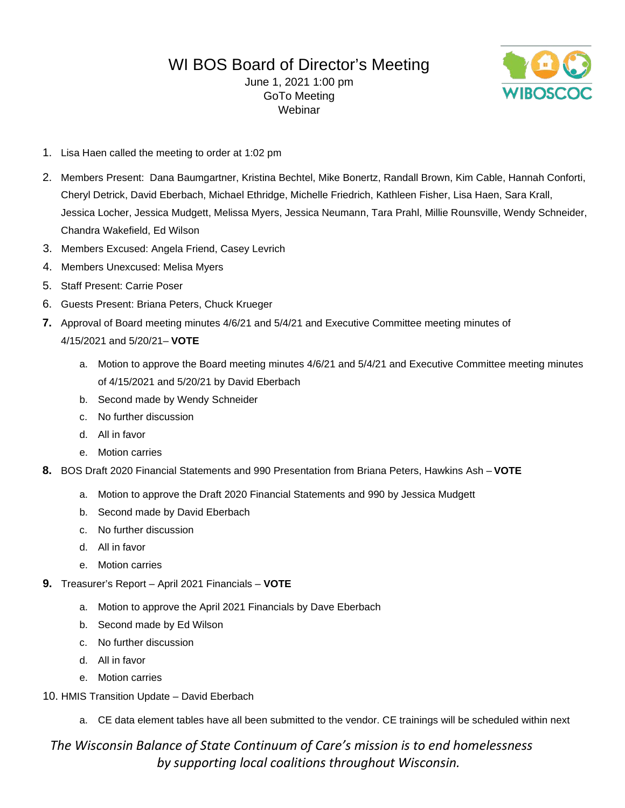# WI BOS Board of Director's Meeting

June 1, 2021 1:00 pm GoTo Meeting Webinar



- 1. Lisa Haen called the meeting to order at 1:02 pm
- 2. Members Present: Dana Baumgartner, Kristina Bechtel, Mike Bonertz, Randall Brown, Kim Cable, Hannah Conforti, Cheryl Detrick, David Eberbach, Michael Ethridge, Michelle Friedrich, Kathleen Fisher, Lisa Haen, Sara Krall, Jessica Locher, Jessica Mudgett, Melissa Myers, Jessica Neumann, Tara Prahl, Millie Rounsville, Wendy Schneider, Chandra Wakefield, Ed Wilson
- 3. Members Excused: Angela Friend, Casey Levrich
- 4. Members Unexcused: Melisa Myers
- 5. Staff Present: Carrie Poser
- 6. Guests Present: Briana Peters, Chuck Krueger
- **7.** Approval of Board meeting minutes 4/6/21 and 5/4/21 and Executive Committee meeting minutes of 4/15/2021 and 5/20/21– **VOTE**
	- a. Motion to approve the Board meeting minutes 4/6/21 and 5/4/21 and Executive Committee meeting minutes of 4/15/2021 and 5/20/21 by David Eberbach
	- b. Second made by Wendy Schneider
	- c. No further discussion
	- d. All in favor
	- e. Motion carries
- **8.** BOS Draft 2020 Financial Statements and 990 Presentation from Briana Peters, Hawkins Ash **VOTE**
	- a. Motion to approve the Draft 2020 Financial Statements and 990 by Jessica Mudgett
	- b. Second made by David Eberbach
	- c. No further discussion
	- d. All in favor
	- e. Motion carries
- **9.** Treasurer's Report April 2021 Financials **VOTE**
	- a. Motion to approve the April 2021 Financials by Dave Eberbach
	- b. Second made by Ed Wilson
	- c. No further discussion
	- d. All in favor
	- e. Motion carries
- 10. HMIS Transition Update David Eberbach
	- a. CE data element tables have all been submitted to the vendor. CE trainings will be scheduled within next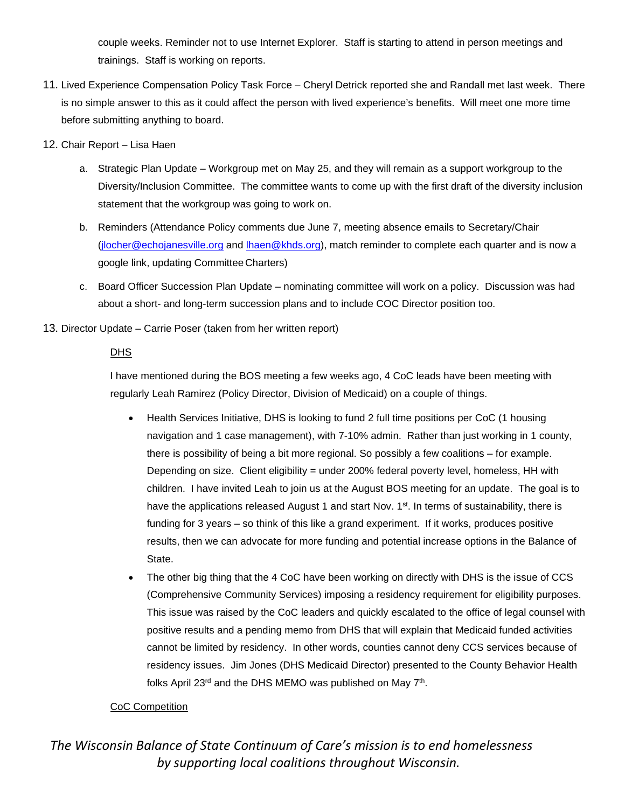couple weeks. Reminder not to use Internet Explorer. Staff is starting to attend in person meetings and trainings. Staff is working on reports.

- 11. Lived Experience Compensation Policy Task Force Cheryl Detrick reported she and Randall met last week. There is no simple answer to this as it could affect the person with lived experience's benefits. Will meet one more time before submitting anything to board.
- 12. Chair Report Lisa Haen
	- a. Strategic Plan Update Workgroup met on May 25, and they will remain as a support workgroup to the Diversity/Inclusion Committee. The committee wants to come up with the first draft of the diversity inclusion statement that the workgroup was going to work on.
	- b. Reminders (Attendance Policy comments due June 7, meeting absence emails to Secretary/Chair [\(jlocher@echojanesville.org](mailto:jlocher@echojanesville.org) and [lhaen@khds.org\)](mailto:lhaen@khds.org), match reminder to complete each quarter and is now a google link, updating Committee Charters)
	- c. Board Officer Succession Plan Update nominating committee will work on a policy. Discussion was had about a short- and long-term succession plans and to include COC Director position too.
- 13. Director Update Carrie Poser (taken from her written report)

## **DHS**

I have mentioned during the BOS meeting a few weeks ago, 4 CoC leads have been meeting with regularly Leah Ramirez (Policy Director, Division of Medicaid) on a couple of things.

- Health Services Initiative, DHS is looking to fund 2 full time positions per CoC (1 housing navigation and 1 case management), with 7-10% admin. Rather than just working in 1 county, there is possibility of being a bit more regional. So possibly a few coalitions – for example. Depending on size. Client eligibility = under 200% federal poverty level, homeless, HH with children. I have invited Leah to join us at the August BOS meeting for an update. The goal is to have the applications released August 1 and start Nov.  $1<sup>st</sup>$ . In terms of sustainability, there is funding for 3 years – so think of this like a grand experiment. If it works, produces positive results, then we can advocate for more funding and potential increase options in the Balance of State.
- The other big thing that the 4 CoC have been working on directly with DHS is the issue of CCS (Comprehensive Community Services) imposing a residency requirement for eligibility purposes. This issue was raised by the CoC leaders and quickly escalated to the office of legal counsel with positive results and a pending memo from DHS that will explain that Medicaid funded activities cannot be limited by residency. In other words, counties cannot deny CCS services because of residency issues. Jim Jones (DHS Medicaid Director) presented to the County Behavior Health folks April 23<sup>rd</sup> and the DHS MEMO was published on May 7<sup>th</sup>.

## CoC Competition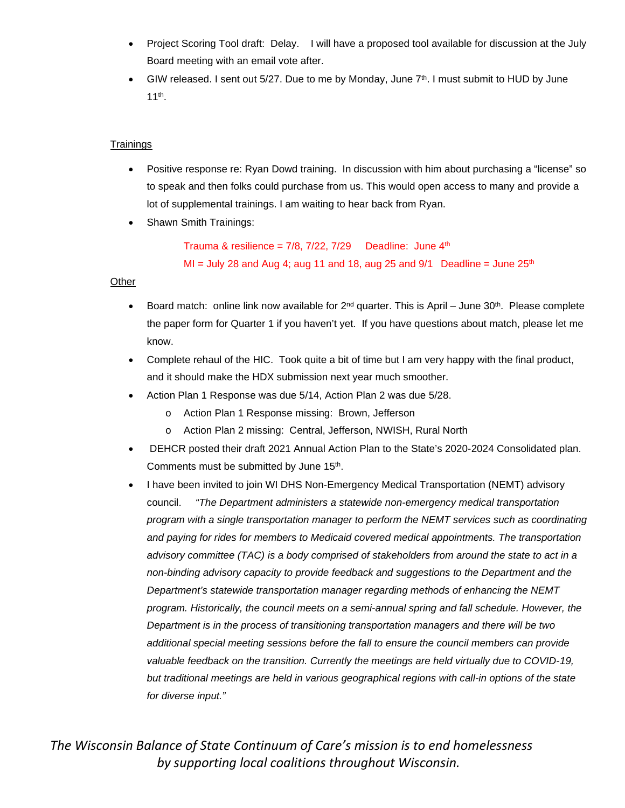- Project Scoring Tool draft: Delay. I will have a proposed tool available for discussion at the July Board meeting with an email vote after.
- GIW released. I sent out 5/27. Due to me by Monday, June 7<sup>th</sup>. I must submit to HUD by June 11th.

#### **Trainings**

- Positive response re: Ryan Dowd training. In discussion with him about purchasing a "license" so to speak and then folks could purchase from us. This would open access to many and provide a lot of supplemental trainings. I am waiting to hear back from Ryan.
- Shawn Smith Trainings:

Trauma & resilience =  $7/8$ ,  $7/22$ ,  $7/29$  Deadline: June  $4<sup>th</sup>$ MI = July 28 and Aug 4; aug 11 and 18, aug 25 and  $9/1$  Deadline = June  $25<sup>th</sup>$ 

#### Other

- Board match: online link now available for  $2^{nd}$  quarter. This is April June 30<sup>th</sup>. Please complete the paper form for Quarter 1 if you haven't yet. If you have questions about match, please let me know.
- Complete rehaul of the HIC. Took quite a bit of time but I am very happy with the final product, and it should make the HDX submission next year much smoother.
- Action Plan 1 Response was due 5/14, Action Plan 2 was due 5/28.
	- o Action Plan 1 Response missing: Brown, Jefferson
	- o Action Plan 2 missing: Central, Jefferson, NWISH, Rural North
- DEHCR posted their draft 2021 Annual Action Plan to the State's 2020-2024 Consolidated plan. Comments must be submitted by June 15<sup>th</sup>.
- I have been invited to join WI DHS Non-Emergency Medical Transportation (NEMT) advisory council. *"The Department administers a statewide non-emergency medical transportation program with a single transportation manager to perform the NEMT services such as coordinating and paying for rides for members to Medicaid covered medical appointments. The transportation advisory committee (TAC) is a body comprised of stakeholders from around the state to act in a non-binding advisory capacity to provide feedback and suggestions to the Department and the Department's statewide transportation manager regarding methods of enhancing the NEMT program. Historically, the council meets on a semi-annual spring and fall schedule. However, the Department is in the process of transitioning transportation managers and there will be two additional special meeting sessions before the fall to ensure the council members can provide valuable feedback on the transition. Currently the meetings are held virtually due to COVID-19, but traditional meetings are held in various geographical regions with call-in options of the state for diverse input."*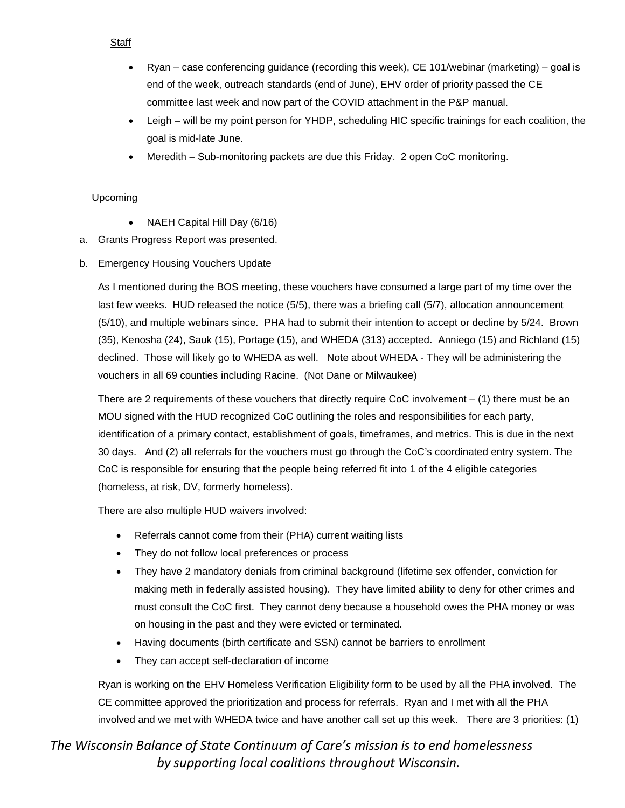#### Staff

- Ryan case conferencing guidance (recording this week), CE 101/webinar (marketing) goal is end of the week, outreach standards (end of June), EHV order of priority passed the CE committee last week and now part of the COVID attachment in the P&P manual.
- Leigh will be my point person for YHDP, scheduling HIC specific trainings for each coalition, the goal is mid-late June.
- Meredith Sub-monitoring packets are due this Friday. 2 open CoC monitoring.

#### **Upcoming**

- NAEH Capital Hill Day (6/16)
- a. Grants Progress Report was presented.
- b. Emergency Housing Vouchers Update

As I mentioned during the BOS meeting, these vouchers have consumed a large part of my time over the last few weeks. HUD released the notice (5/5), there was a briefing call (5/7), allocation announcement (5/10), and multiple webinars since. PHA had to submit their intention to accept or decline by 5/24. Brown (35), Kenosha (24), Sauk (15), Portage (15), and WHEDA (313) accepted. Anniego (15) and Richland (15) declined. Those will likely go to WHEDA as well. Note about WHEDA - They will be administering the vouchers in all 69 counties including Racine. (Not Dane or Milwaukee)

There are 2 requirements of these vouchers that directly require CoC involvement  $-$  (1) there must be an MOU signed with the HUD recognized CoC outlining the roles and responsibilities for each party, identification of a primary contact, establishment of goals, timeframes, and metrics. This is due in the next 30 days. And (2) all referrals for the vouchers must go through the CoC's coordinated entry system. The CoC is responsible for ensuring that the people being referred fit into 1 of the 4 eligible categories (homeless, at risk, DV, formerly homeless).

There are also multiple HUD waivers involved:

- Referrals cannot come from their (PHA) current waiting lists
- They do not follow local preferences or process
- They have 2 mandatory denials from criminal background (lifetime sex offender, conviction for making meth in federally assisted housing). They have limited ability to deny for other crimes and must consult the CoC first. They cannot deny because a household owes the PHA money or was on housing in the past and they were evicted or terminated.
- Having documents (birth certificate and SSN) cannot be barriers to enrollment
- They can accept self-declaration of income

Ryan is working on the EHV Homeless Verification Eligibility form to be used by all the PHA involved. The CE committee approved the prioritization and process for referrals. Ryan and I met with all the PHA involved and we met with WHEDA twice and have another call set up this week. There are 3 priorities: (1)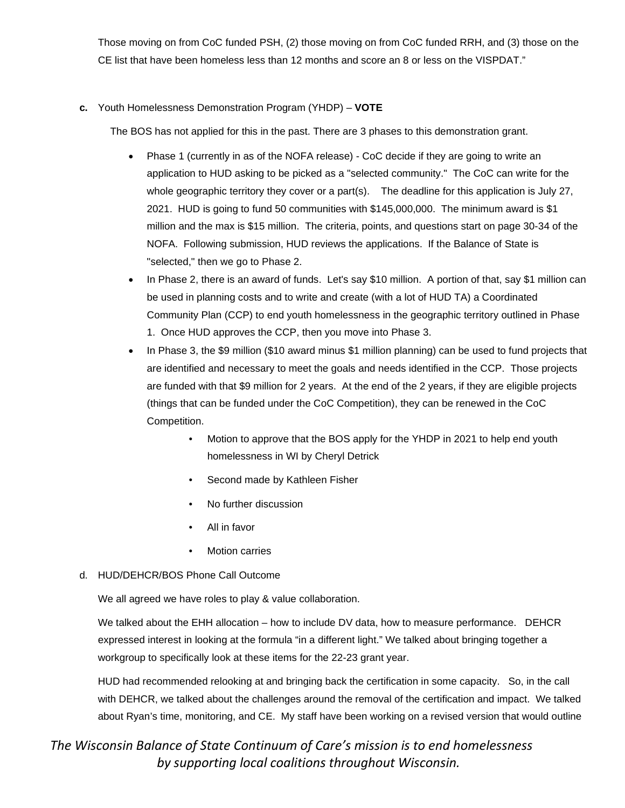Those moving on from CoC funded PSH, (2) those moving on from CoC funded RRH, and (3) those on the CE list that have been homeless less than 12 months and score an 8 or less on the VISPDAT."

## **c.** Youth Homelessness Demonstration Program (YHDP) – **VOTE**

The BOS has not applied for this in the past. There are 3 phases to this demonstration grant.

- Phase 1 (currently in as of the NOFA release) CoC decide if they are going to write an application to HUD asking to be picked as a "selected community." The CoC can write for the whole geographic territory they cover or a part(s). The deadline for this application is July 27, 2021. HUD is going to fund 50 communities with \$145,000,000. The minimum award is \$1 million and the max is \$15 million. The criteria, points, and questions start on page 30-34 of the NOFA. Following submission, HUD reviews the applications. If the Balance of State is "selected," then we go to Phase 2.
- In Phase 2, there is an award of funds. Let's say \$10 million. A portion of that, say \$1 million can be used in planning costs and to write and create (with a lot of HUD TA) a Coordinated Community Plan (CCP) to end youth homelessness in the geographic territory outlined in Phase 1. Once HUD approves the CCP, then you move into Phase 3.
- In Phase 3, the \$9 million (\$10 award minus \$1 million planning) can be used to fund projects that are identified and necessary to meet the goals and needs identified in the CCP. Those projects are funded with that \$9 million for 2 years. At the end of the 2 years, if they are eligible projects (things that can be funded under the CoC Competition), they can be renewed in the CoC Competition.
	- Motion to approve that the BOS apply for the YHDP in 2021 to help end youth homelessness in WI by Cheryl Detrick
	- Second made by Kathleen Fisher
	- No further discussion
	- All in favor
	- **Motion carries**

#### d. HUD/DEHCR/BOS Phone Call Outcome

We all agreed we have roles to play & value collaboration.

We talked about the EHH allocation – how to include DV data, how to measure performance. DEHCR expressed interest in looking at the formula "in a different light." We talked about bringing together a workgroup to specifically look at these items for the 22-23 grant year.

HUD had recommended relooking at and bringing back the certification in some capacity. So, in the call with DEHCR, we talked about the challenges around the removal of the certification and impact. We talked about Ryan's time, monitoring, and CE. My staff have been working on a revised version that would outline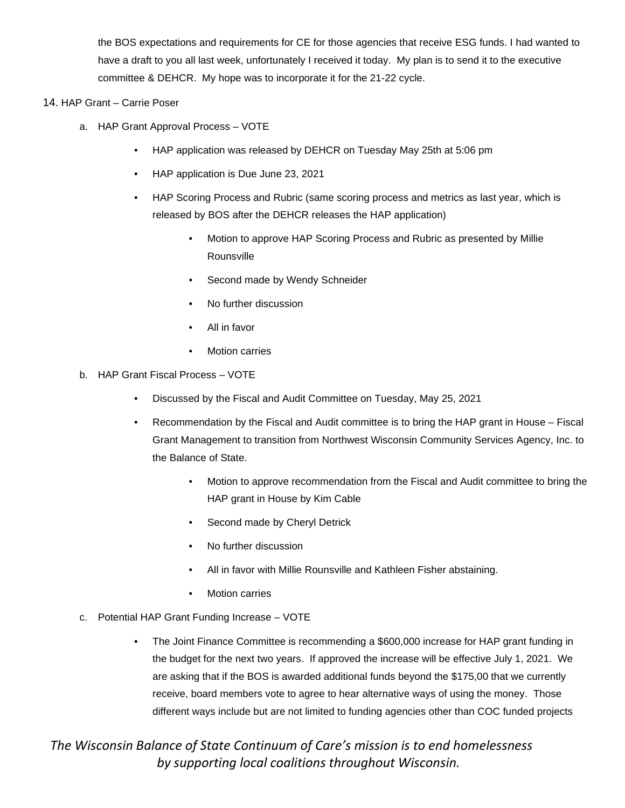the BOS expectations and requirements for CE for those agencies that receive ESG funds. I had wanted to have a draft to you all last week, unfortunately I received it today. My plan is to send it to the executive committee & DEHCR. My hope was to incorporate it for the 21-22 cycle.

#### 14. HAP Grant – Carrie Poser

- a. HAP Grant Approval Process VOTE
	- HAP application was released by DEHCR on Tuesday May 25th at 5:06 pm
	- HAP application is Due June 23, 2021
	- HAP Scoring Process and Rubric (same scoring process and metrics as last year, which is released by BOS after the DEHCR releases the HAP application)
		- Motion to approve HAP Scoring Process and Rubric as presented by Millie Rounsville
		- Second made by Wendy Schneider
		- No further discussion
		- All in favor
		- **Motion carries**
- b. HAP Grant Fiscal Process VOTE
	- Discussed by the Fiscal and Audit Committee on Tuesday, May 25, 2021
	- Recommendation by the Fiscal and Audit committee is to bring the HAP grant in House Fiscal Grant Management to transition from Northwest Wisconsin Community Services Agency, Inc. to the Balance of State.
		- Motion to approve recommendation from the Fiscal and Audit committee to bring the HAP grant in House by Kim Cable
		- Second made by Cheryl Detrick
		- No further discussion
		- All in favor with Millie Rounsville and Kathleen Fisher abstaining.
		- **Motion carries**
- c. Potential HAP Grant Funding Increase VOTE
	- The Joint Finance Committee is recommending a \$600,000 increase for HAP grant funding in the budget for the next two years. If approved the increase will be effective July 1, 2021. We are asking that if the BOS is awarded additional funds beyond the \$175,00 that we currently receive, board members vote to agree to hear alternative ways of using the money. Those different ways include but are not limited to funding agencies other than COC funded projects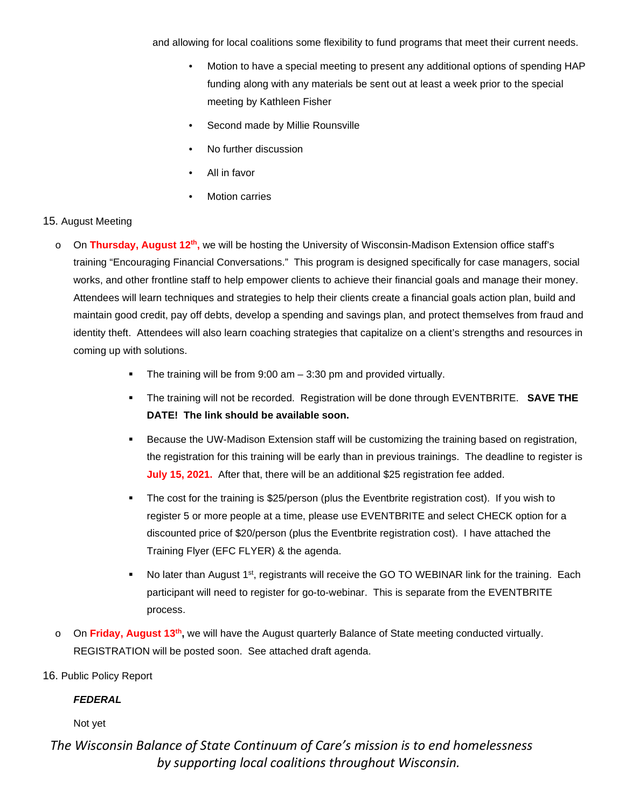and allowing for local coalitions some flexibility to fund programs that meet their current needs.

- Motion to have a special meeting to present any additional options of spending HAP funding along with any materials be sent out at least a week prior to the special meeting by Kathleen Fisher
- Second made by Millie Rounsville
- No further discussion
- All in favor
- **Motion carries**

## 15. August Meeting

- o On **Thursday, August 12th,** we will be hosting the University of Wisconsin-Madison Extension office staff's training "Encouraging Financial Conversations." This program is designed specifically for case managers, social works, and other frontline staff to help empower clients to achieve their financial goals and manage their money. Attendees will learn techniques and strategies to help their clients create a financial goals action plan, build and maintain good credit, pay off debts, develop a spending and savings plan, and protect themselves from fraud and identity theft. Attendees will also learn coaching strategies that capitalize on a client's strengths and resources in coming up with solutions.
	- The training will be from 9:00 am 3:30 pm and provided virtually.
	- The training will not be recorded. Registration will be done through EVENTBRITE. **SAVE THE DATE! The link should be available soon.**
	- Because the UW-Madison Extension staff will be customizing the training based on registration, the registration for this training will be early than in previous trainings. The deadline to register is **July 15, 2021.** After that, there will be an additional \$25 registration fee added.
	- The cost for the training is \$25/person (plus the Eventbrite registration cost). If you wish to register 5 or more people at a time, please use EVENTBRITE and select CHECK option for a discounted price of \$20/person (plus the Eventbrite registration cost). I have attached the Training Flyer (EFC FLYER) & the agenda.
	- $\blacksquare$  No later than August 1<sup>st</sup>, registrants will receive the GO TO WEBINAR link for the training. Each participant will need to register for go-to-webinar. This is separate from the EVENTBRITE process.
- o On **Friday, August 13th,** we will have the August quarterly Balance of State meeting conducted virtually. REGISTRATION will be posted soon. See attached draft agenda.

## 16. Public Policy Report

## *FEDERAL*

## Not yet